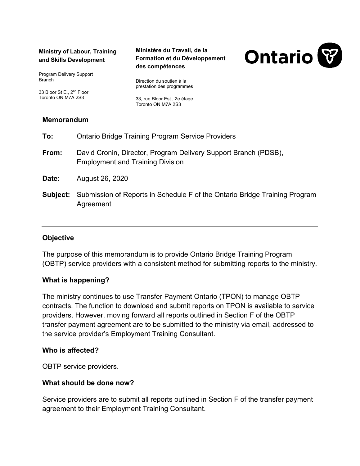#### **Ministry of Labour, Training and Skills Development**

Program Delivery Support **Branch** 

33 Bloor St E., 2<sup>nd</sup> Floor Toronto ON M7A 2S3

#### **Ministère du Travail, de la Formation et du Développement des compétences**

Direction du soutien à la prestation des programmes

33, rue Bloor Est., 2e étage Toronto ON M7A 2S3

# **Memorandum**

| To:      | <b>Ontario Bridge Training Program Service Providers</b>                                                   |
|----------|------------------------------------------------------------------------------------------------------------|
| From:    | David Cronin, Director, Program Delivery Support Branch (PDSB),<br><b>Employment and Training Division</b> |
| Date:    | August 26, 2020                                                                                            |
| Subject: | Submission of Reports in Schedule F of the Ontario Bridge Training Program<br>Agreement                    |

# **Objective**

The purpose of this memorandum is to provide Ontario Bridge Training Program (OBTP) service providers with a consistent method for submitting reports to the ministry.

# **What is happening?**

The ministry continues to use Transfer Payment Ontario (TPON) to manage OBTP contracts. The function to download and submit reports on TPON is available to service providers. However, moving forward all reports outlined in Section F of the OBTP transfer payment agreement are to be submitted to the ministry via email, addressed to the service provider's Employment Training Consultant.

### **Who is affected?**

OBTP service providers.

### **What should be done now?**

Service providers are to submit all reports outlined in Section F of the transfer payment agreement to their Employment Training Consultant.